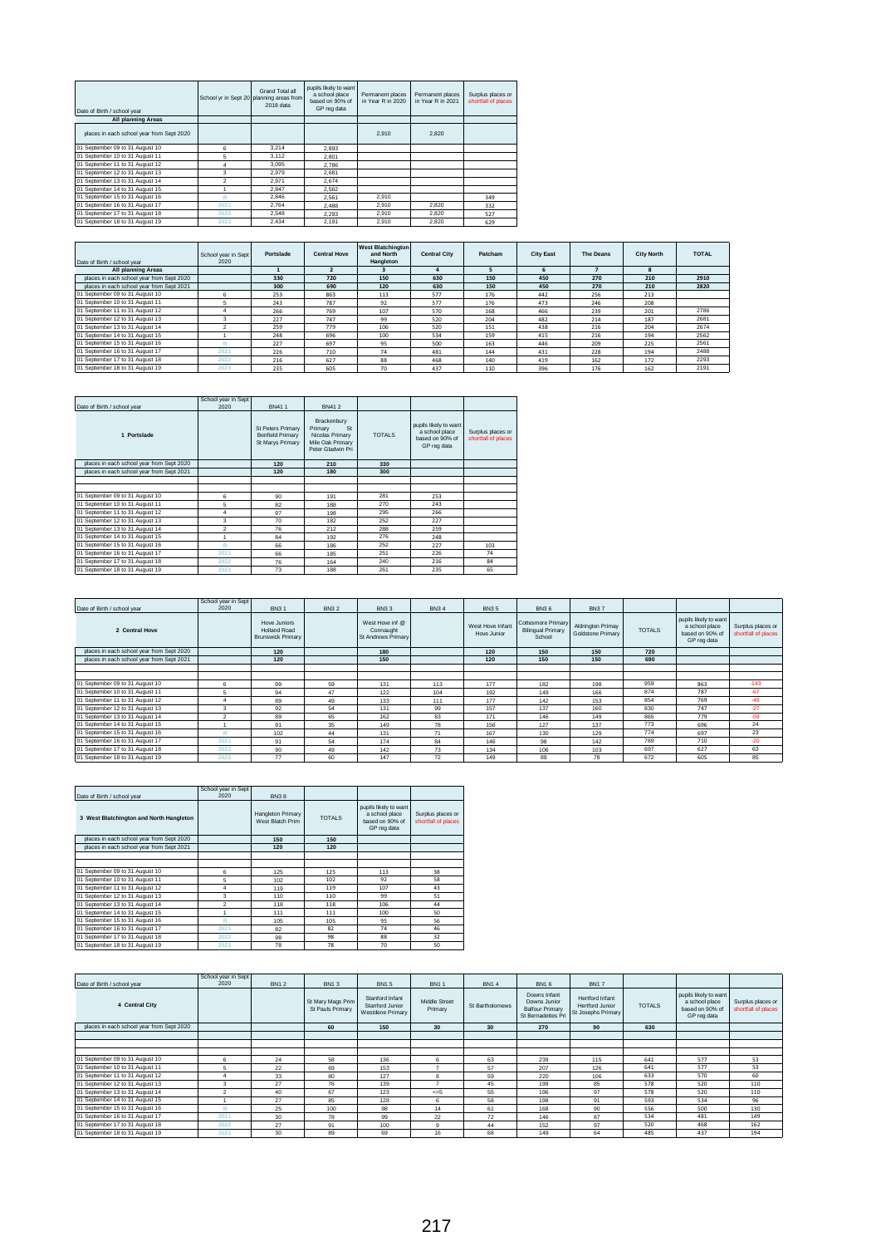| Date of Birth / school year               | School yr in Sept 20 planning areas from | Grand Total all<br>2018 data | pupils likely to want<br>a school place<br>based on 90% of<br>GP reg data | Permanent places<br>in Year R in 2020 | Permanent places<br>in Year R in 2021 | Surplus places or<br>shortfall of places |
|-------------------------------------------|------------------------------------------|------------------------------|---------------------------------------------------------------------------|---------------------------------------|---------------------------------------|------------------------------------------|
| <b>All planning Areas</b>                 |                                          |                              |                                                                           |                                       |                                       |                                          |
| places in each school year from Sept 2020 |                                          |                              |                                                                           | 2.910                                 | 2.820                                 |                                          |
| 01 September 09 to 31 August 10           | 6                                        | 3.214                        | 2.893                                                                     |                                       |                                       |                                          |
| 01 September 10 to 31 August 11           | 5                                        | 3.112                        | 2.801                                                                     |                                       |                                       |                                          |
| 01 September 11 to 31 August 12           | 4                                        | 3.095                        | 2.786                                                                     |                                       |                                       |                                          |
| 01 September 12 to 31 August 13           | 3                                        | 2.979                        | 2.681                                                                     |                                       |                                       |                                          |
| 01 September 13 to 31 August 14           | $\mathcal{P}$                            | 2.971                        | 2.674                                                                     |                                       |                                       |                                          |
| 01 September 14 to 31 August 15           |                                          | 2.847                        | 2.562                                                                     |                                       |                                       |                                          |
| 01 September 15 to 31 August 16           | R                                        | 2.846                        | 2.561                                                                     | 2.910                                 |                                       | 349                                      |
| 01 September 16 to 31 August 17           | 2021                                     | 2.764                        | 2.488                                                                     | 2.910                                 | 2.820                                 | 332                                      |
| 01 September 17 to 31 August 18           | 2022                                     | 2.548                        | 2.293                                                                     | 2.910                                 | 2.820                                 | 527                                      |
| 01 September 18 to 31 August 19           | 2023                                     | 2.434                        | 2.191                                                                     | 2.910                                 | 2.820                                 | 629                                      |

| Date of Birth / school year               | School year in Sept<br>2020 | Portslade | <b>Central Hove</b> | <b>West Blatchington</b><br>and North<br>Hangleton | <b>Central City</b> | Patcham | <b>City East</b> | <b>The Deans</b> | <b>City North</b> | <b>TOTAL</b> |
|-------------------------------------------|-----------------------------|-----------|---------------------|----------------------------------------------------|---------------------|---------|------------------|------------------|-------------------|--------------|
| All planning Areas                        |                             |           |                     |                                                    |                     |         |                  |                  | $\mathbf{R}$      |              |
| places in each school year from Sept 2020 |                             | 330       | 720                 | 150                                                | 630                 | 150     | 450              | 270              | 210               | 2910         |
| places in each school year from Sept 2021 |                             | 300       | 690                 | 120                                                | 630                 | 150     | 450              | 270              | 210               | 2820         |
| 01 September 09 to 31 August 10           | 6                           | 253       | 863                 | 113                                                | 577                 | 176     | 442              | 256              | 213               |              |
| 01 September 10 to 31 August 11           |                             | 243       | 787                 | 92                                                 | 577                 | 176     | 473              | 246              | 208               |              |
| 01 September 11 to 31 August 12           |                             | 266       | 769                 | 107                                                | 570                 | 168     | 466              | 239              | 201               | 2786         |
| 01 September 12 to 31 August 13           | 3                           | 227       | 747                 | 99                                                 | 520                 | 204     | 482              | 214              | 187               | 2681         |
| 01 September 13 to 31 August 14           |                             | 259       | 779                 | 106                                                | 520                 | 151     | 438              | 216              | 204               | 2674         |
| 01 September 14 to 31 August 15           |                             | 248       | 696                 | 100                                                | 534                 | 159     | 415              | 216              | 194               | 2562         |
| 01 September 15 to 31 August 16           |                             | 227       | 697                 | 95                                                 | 500                 | 163     | 446              | 209              | 225               | 2561         |
| 01 September 16 to 31 August 17           | 2021                        | 226       | 710                 | 74                                                 | 481                 | 144     | 431              | 228              | 194               | 2488         |
| 01 September 17 to 31 August 18           | 2022                        | 216       | 627                 | 88                                                 | 468                 | 140     | 419              | 162              | 172               | 2293         |
| 01 September 18 to 31 August 19           | 2023                        | 235       | 605                 | 70                                                 | 437                 | 110     | 396              | 176              | 162               | 2191         |

|                                           | School year in Sept |                                                                  |                                                                                          |               |                                                                           |                                          |
|-------------------------------------------|---------------------|------------------------------------------------------------------|------------------------------------------------------------------------------------------|---------------|---------------------------------------------------------------------------|------------------------------------------|
| Date of Birth / school year               | 2020                | BN411                                                            | <b>BN412</b>                                                                             |               |                                                                           |                                          |
| 1 Portslade                               |                     | <b>St Peters Primary</b><br>Benfield Primary<br>St Marys Primary | Brackenbury<br>Primary<br>St<br>Nicolas Primary<br>Mile Oak Primary<br>Peter Gladwin Pri | <b>TOTALS</b> | pupils likely to want<br>a school place<br>based on 90% of<br>GP reg data | Surplus places or<br>shortfall of places |
| places in each school year from Sept 2020 |                     | 120                                                              | 210                                                                                      | 330           |                                                                           |                                          |
| places in each school year from Sept 2021 |                     | 120                                                              | 180                                                                                      | 300           |                                                                           |                                          |
|                                           |                     |                                                                  |                                                                                          |               |                                                                           |                                          |
|                                           |                     |                                                                  |                                                                                          |               |                                                                           |                                          |
| 01 September 09 to 31 August 10           | 6                   | 90                                                               | 191                                                                                      | 281           | 253                                                                       |                                          |
| 01 September 10 to 31 August 11           | 5                   | 82                                                               | 188                                                                                      | 270           | 243                                                                       |                                          |
| 01 September 11 to 31 August 12           | 4                   | 97                                                               | 198                                                                                      | 295           | 266                                                                       |                                          |
| 01 September 12 to 31 August 13           | 3                   | 70                                                               | 182                                                                                      | 252           | 227                                                                       |                                          |
| 01 September 13 to 31 August 14           | $\overline{2}$      | 76                                                               | 212                                                                                      | 288           | 259                                                                       |                                          |
| 01 September 14 to 31 August 15           |                     | 84                                                               | 192                                                                                      | 276           | 248                                                                       |                                          |
| 01 September 15 to 31 August 16           | Ŕ                   | 66                                                               | 186                                                                                      | 252           | 227                                                                       | 103                                      |
| 01 September 16 to 31 August 17           | 2021                | 66                                                               | 185                                                                                      | 251           | 226                                                                       | 74                                       |
| 01 September 17 to 31 August 18           | 2022                | 76                                                               | 164                                                                                      | 240           | 216                                                                       | 84                                       |
| 01 September 18 to 31 August 19           | 2023                | 73                                                               | 188                                                                                      | 261           | 235                                                                       | 65                                       |

|                                           | School year in Sept |                                                                 |             |                                                    |             |                                 |                                                                 |                                        |               |                                                                           |                                          |
|-------------------------------------------|---------------------|-----------------------------------------------------------------|-------------|----------------------------------------------------|-------------|---------------------------------|-----------------------------------------------------------------|----------------------------------------|---------------|---------------------------------------------------------------------------|------------------------------------------|
| Date of Birth / school year               | 2020                | <b>BN31</b>                                                     | <b>BN32</b> | <b>BN33</b>                                        | <b>BN34</b> | <b>BN35</b>                     | <b>BN36</b>                                                     | <b>BN37</b>                            |               |                                                                           |                                          |
| 2 Central Hove                            |                     | Hove Juniors<br><b>Holland Road</b><br><b>Brunswick Primary</b> |             | West Hove inf @<br>Connaught<br>St Andrews Primary |             | West Hove Infant<br>Hove Junior | <b>Cottesmore Primary</b><br><b>Bilingual Primary</b><br>School | Aldrington Primay<br>Goldstone Primary | <b>TOTALS</b> | pupils likely to want<br>a school place<br>based on 90% of<br>GP reg data | Surplus places or<br>shortfall of places |
| places in each school year from Sept 2020 |                     | 120                                                             |             | 180                                                |             | 120                             | 150                                                             | 150                                    | 720           |                                                                           |                                          |
| places in each school year from Sept 2021 |                     | 120                                                             |             | 150                                                |             | 120                             | 150                                                             | 150                                    | 690           |                                                                           |                                          |
|                                           |                     |                                                                 |             |                                                    |             |                                 |                                                                 |                                        |               |                                                                           |                                          |
|                                           |                     |                                                                 |             |                                                    |             |                                 |                                                                 |                                        |               |                                                                           |                                          |
| 01 September 09 to 31 August 10           | 6                   | 99                                                              | 59          | 131                                                | 113         | 177                             | 182                                                             | 198                                    | 959           | 863                                                                       | $-143$                                   |
| 01 September 10 to 31 August 11           |                     | 94                                                              | 47          | 122                                                | 104         | 192                             | 149                                                             | 166                                    | 874           | 787                                                                       | $-67$                                    |
| 01 September 11 to 31 August 12           |                     | 89                                                              | 49          | 133                                                | 111         | 177                             | 142                                                             | 153                                    | 854           | 769                                                                       | $-49$                                    |
| 01 September 12 to 31 August 13           | 3                   | 92                                                              | 54          | 131                                                | 99          | 157                             | 137                                                             | 160                                    | 830           | 747                                                                       | $-27$                                    |
| 01 September 13 to 31 August 14           | $\overline{2}$      | 89                                                              | 65          | 162                                                | 83          | 171                             | 146                                                             | 149                                    | 865           | 779                                                                       | $-59$                                    |
| 01 September 14 to 31 August 15           |                     | 91                                                              | 35          | 149                                                | 78          | 156                             | 127                                                             | 137                                    | 773           | 696                                                                       | 24                                       |
| 01 September 15 to 31 August 16           |                     | 102                                                             | 44          | 131                                                | 71          | 167                             | 130                                                             | 129                                    | 774           | 697                                                                       | 23                                       |
| 01 September 16 to 31 August 17           | 2021                | 91                                                              | 54          | 174                                                | 84          | 146                             | 98                                                              | 142                                    | 789           | 710                                                                       | $-20$                                    |
| 01 September 17 to 31 August 18           | 2022                | 90                                                              | 49          | 142                                                | 73          | 134                             | 106                                                             | 103                                    | 697           | 627                                                                       | 63                                       |
| 01 September 18 to 31 August 19           | 2023                | 77                                                              | 60          | 147                                                | 72          | 149                             | 89                                                              | 78                                     | 672           | 605                                                                       | 85                                       |

| Date of Birth / school year               | School year in Sept<br>2020 | <b>BN38</b>                           |               |                                                                           |                                          |
|-------------------------------------------|-----------------------------|---------------------------------------|---------------|---------------------------------------------------------------------------|------------------------------------------|
| 3 West Blatchington and North Hangleton   |                             | Hangleton Primary<br>West Blatch Prim | <b>TOTALS</b> | pupils likely to want<br>a school place<br>based on 90% of<br>GP reg data | Surplus places or<br>shortfall of places |
| places in each school year from Sept 2020 |                             | 150                                   | 150           |                                                                           |                                          |
| places in each school year from Sept 2021 |                             | 120                                   | 120           |                                                                           |                                          |
|                                           |                             |                                       |               |                                                                           |                                          |
| 01 September 09 to 31 August 10           | 6                           | 125                                   | 125           | 113                                                                       | 38                                       |
| 01 September 10 to 31 August 11           | 5                           | 102                                   | 102           | 92                                                                        | 58                                       |
| 01 September 11 to 31 August 12           | 4                           | 119                                   | 119           | 107                                                                       | 43                                       |
| 01 September 12 to 31 August 13           | 3                           | 110                                   | 110           | 99                                                                        | 51                                       |
| 01 September 13 to 31 August 14           | $\overline{2}$              | 118                                   | 118           | 106                                                                       | 44                                       |
| 01 September 14 to 31 August 15           |                             | 111                                   | 111           | 100                                                                       | 50                                       |
| 01 September 15 to 31 August 16           | R                           | 105                                   | 105           | 95                                                                        | 56                                       |
| 01 September 16 to 31 August 17           | 2021                        | 82                                    | 82            | 74                                                                        | 46                                       |
| 01 September 17 to 31 August 18           | 2022                        | 98                                    | 98            | 88                                                                        | 32                                       |
| 01 September 18 to 31 August 19           | 2023                        | 78                                    | 78            | 70                                                                        | 50                                       |

| Date of Birth / school year               | School year in Sept<br>2020 | <b>BN12</b> | <b>BN13</b>                           | <b>BN15</b>                                            | <b>BN11</b>              | <b>BN14</b>     | <b>BN16</b>                                                                  | <b>BN17</b>                                                     |               |                                                                           |                                          |
|-------------------------------------------|-----------------------------|-------------|---------------------------------------|--------------------------------------------------------|--------------------------|-----------------|------------------------------------------------------------------------------|-----------------------------------------------------------------|---------------|---------------------------------------------------------------------------|------------------------------------------|
| 4 Central City                            |                             |             | St Mary Mags Prim<br>St Pauls Primary | Stanford Infant<br>Stanford Junior<br>Westdene Primary | Middle Street<br>Primary | St Bartholomews | Downs Infant<br>Downs Junior<br><b>Balfour Primary</b><br>St Bernadettes Pri | Hertford Infant<br><b>Hertford Junior</b><br>St Josephs Primary | <b>TOTALS</b> | pupils likely to want<br>a school place<br>based on 90% of<br>GP reg data | Surplus places or<br>shortfall of places |
| places in each school year from Sept 2020 |                             |             | 60                                    | 150                                                    | 30                       | 30              | 270                                                                          | 90                                                              | 630           |                                                                           |                                          |
|                                           |                             |             |                                       |                                                        |                          |                 |                                                                              |                                                                 |               |                                                                           |                                          |
|                                           |                             |             |                                       |                                                        |                          |                 |                                                                              |                                                                 |               |                                                                           |                                          |
|                                           |                             |             |                                       |                                                        |                          |                 |                                                                              |                                                                 |               |                                                                           |                                          |
| 01 September 09 to 31 August 10           | 6                           | 24          | 58                                    | 136                                                    | 6                        | 63              | 239                                                                          | 115                                                             | 641           | 577                                                                       | 53                                       |
| 01 September 10 to 31 August 11           | 5                           | 22          | 69                                    | 153                                                    |                          | 57              | 207                                                                          | 126                                                             | 641           | 577                                                                       | 53                                       |
| 01 September 11 to 31 August 12           |                             | 33          | 80                                    | 127                                                    | 8                        | 59              | 220                                                                          | 106                                                             | 633           | 570                                                                       | 60                                       |
| 01 September 12 to 31 August 13           |                             | 27          | 76                                    | 139                                                    |                          | 45              | 199                                                                          | 85                                                              | 578           | 520                                                                       | 110                                      |
| 01 September 13 to 31 August 14           |                             | 40          | 67                                    | 123                                                    | $\leq 5$                 | 55              | 196                                                                          | 97                                                              | 578           | 520                                                                       | 110                                      |
| 01 September 14 to 31 August 15           |                             | 27          | 85                                    | 128                                                    | 6                        | 58              | 198                                                                          | 91                                                              | 593           | 534                                                                       | 96                                       |
| 01 September 15 to 31 August 16           |                             | 25          | 100                                   | 98                                                     | 14                       | 61              | 168                                                                          | 90                                                              | 556           | 500                                                                       | 130                                      |
| 01 September 16 to 31 August 17           | 2021                        | 30          | 78                                    | 99                                                     | 22                       | 72              | 146                                                                          | 87                                                              | 534           | 481                                                                       | 149                                      |
| 01 September 17 to 31 August 18           | 2022                        | 27          | 91                                    | 100                                                    | $\mathbf{Q}$             | 44              | 152                                                                          | 97                                                              | 520           | 468                                                                       | 162                                      |
| 01 September 18 to 31 August 19           | 2023                        | 30          | 89                                    | 69                                                     | 16                       | 68              | 149                                                                          | 64                                                              | 485           | 437                                                                       | 194                                      |